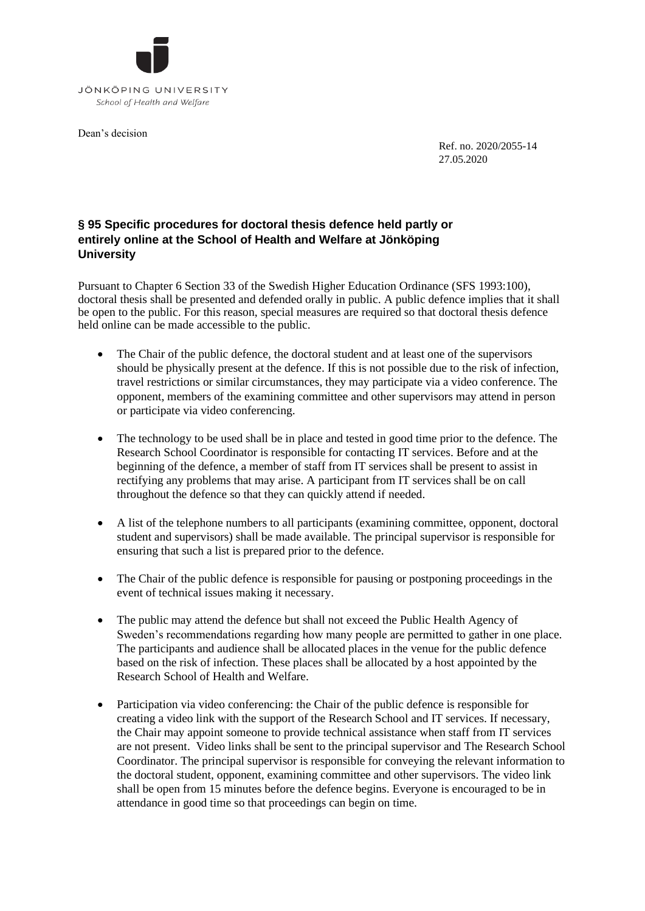

Dean's decision

Ref. no. 2020/2055-14 27.05.2020

## **§ 95 Specific procedures for doctoral thesis defence held partly or entirely online at the School of Health and Welfare at Jönköping University**

Pursuant to Chapter 6 Section 33 of the Swedish Higher Education Ordinance (SFS 1993:100), doctoral thesis shall be presented and defended orally in public. A public defence implies that it shall be open to the public. For this reason, special measures are required so that doctoral thesis defence held online can be made accessible to the public.

- The Chair of the public defence, the doctoral student and at least one of the supervisors should be physically present at the defence. If this is not possible due to the risk of infection, travel restrictions or similar circumstances, they may participate via a video conference. The opponent, members of the examining committee and other supervisors may attend in person or participate via video conferencing.
- The technology to be used shall be in place and tested in good time prior to the defence. The Research School Coordinator is responsible for contacting IT services. Before and at the beginning of the defence, a member of staff from IT services shall be present to assist in rectifying any problems that may arise. A participant from IT services shall be on call throughout the defence so that they can quickly attend if needed.
- A list of the telephone numbers to all participants (examining committee, opponent, doctoral student and supervisors) shall be made available. The principal supervisor is responsible for ensuring that such a list is prepared prior to the defence.
- The Chair of the public defence is responsible for pausing or postponing proceedings in the event of technical issues making it necessary.
- The public may attend the defence but shall not exceed the Public Health Agency of Sweden's recommendations regarding how many people are permitted to gather in one place. The participants and audience shall be allocated places in the venue for the public defence based on the risk of infection. These places shall be allocated by a host appointed by the Research School of Health and Welfare.
- Participation via video conferencing: the Chair of the public defence is responsible for creating a video link with the support of the Research School and IT services. If necessary, the Chair may appoint someone to provide technical assistance when staff from IT services are not present. Video links shall be sent to the principal supervisor and The Research School Coordinator. The principal supervisor is responsible for conveying the relevant information to the doctoral student, opponent, examining committee and other supervisors. The video link shall be open from 15 minutes before the defence begins. Everyone is encouraged to be in attendance in good time so that proceedings can begin on time.